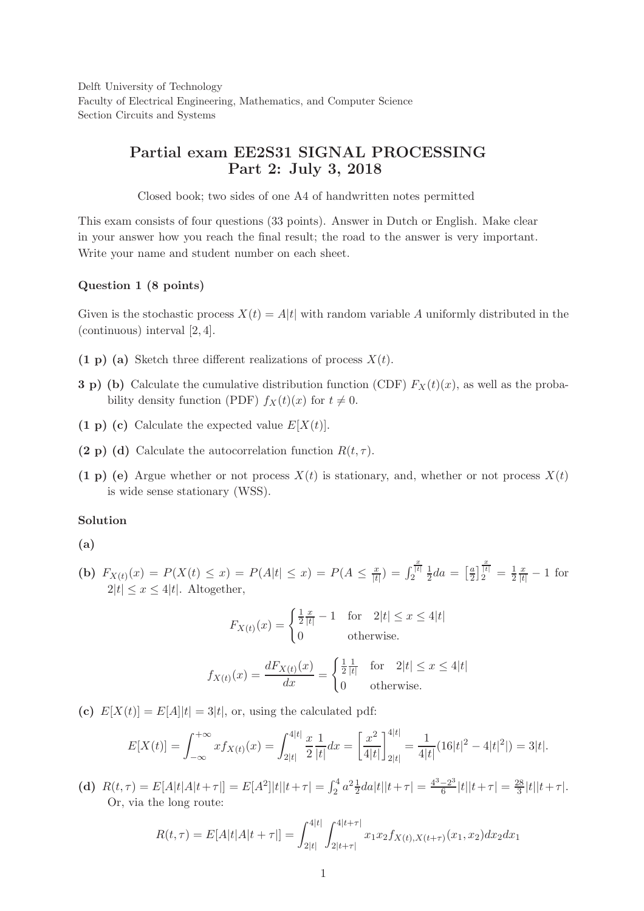Delft University of Technology Faculty of Electrical Engineering, Mathematics, and Computer Science Section Circuits and Systems

# Partial exam EE2S31 SIGNAL PROCESSING Part 2: July 3, 2018

Closed book; two sides of one A4 of handwritten notes permitted

This exam consists of four questions (33 points). Answer in Dutch or English. Make clear in your answer how you reach the final result; the road to the answer is very important. Write your name and student number on each sheet.

### Question 1 (8 points)

Given is the stochastic process  $X(t) = A|t|$  with random variable A uniformly distributed in the (continuous) interval [2, 4].

- (1 p) (a) Sketch three different realizations of process  $X(t)$ .
- 3 p) (b) Calculate the cumulative distribution function (CDF)  $F_X(t)(x)$ , as well as the probability density function (PDF)  $f_X(t)(x)$  for  $t \neq 0$ .
- (1 p) (c) Calculate the expected value  $E[X(t)]$ .
- (2 p) (d) Calculate the autocorrelation function  $R(t, \tau)$ .
- (1 p) (e) Argue whether or not process  $X(t)$  is stationary, and, whether or not process  $X(t)$ is wide sense stationary (WSS).

## Solution

## (a)

(b)  $F_{X(t)}(x) = P(X(t) \le x) = P(A|t| \le x) = P(A \le \frac{x}{|t|})$  $\frac{x}{|t|}) = \int$  $\frac{x}{|t|}$  $\frac{1}{2}$  $rac{1}{2}da = \left[\frac{a}{2}\right]$  $\frac{a}{2}$  $\frac{x}{|t|} = \frac{1}{2}$ 2  $\frac{x}{|t|} - 1$  for  $2|t| < x < 4|t|$ . Altogether,

$$
F_{X(t)}(x) = \begin{cases} \frac{1}{2} \frac{x}{|t|} - 1 & \text{for} \quad 2|t| \le x \le 4|t| \\ 0 & \text{otherwise.} \end{cases}
$$

$$
f_{X(t)}(x) = \frac{dF_{X(t)}(x)}{dx} = \begin{cases} \frac{1}{2} \frac{1}{|t|} & \text{for} \quad 2|t| \le x \le 4|t| \\ 0 & \text{otherwise.} \end{cases}
$$

(c)  $E[X(t)] = E[A] |t| = 3|t|$ , or, using the calculated pdf:

$$
E[X(t)] = \int_{-\infty}^{+\infty} x f_{X(t)}(x) = \int_{2|t|}^{4|t|} \frac{x}{2} \frac{1}{|t|} dx = \left[ \frac{x^2}{4|t|} \right]_{2|t|}^{4|t|} = \frac{1}{4|t|} (16|t|^2 - 4|t|^2|) = 3|t|.
$$

(d)  $R(t,\tau) = E[A|t|A|t+\tau]] = E[A^2]|t||t+\tau| = \int_2^4 a^2 \frac{1}{2} da|t||t+\tau| = \frac{4^3-2^3}{6}$  $\frac{-2^3}{6}$ |t||t+ $\tau$ | =  $\frac{28}{3}$  $\frac{28}{3}|t||t+\tau|.$ Or, via the long route:

$$
R(t,\tau) = E[A|t|A|t+\tau]] = \int_{2|t|}^{4|t|} \int_{2|t+\tau|}^{4|t+\tau|} x_1 x_2 f_{X(t),X(t+\tau)}(x_1,x_2) dx_2 dx_1
$$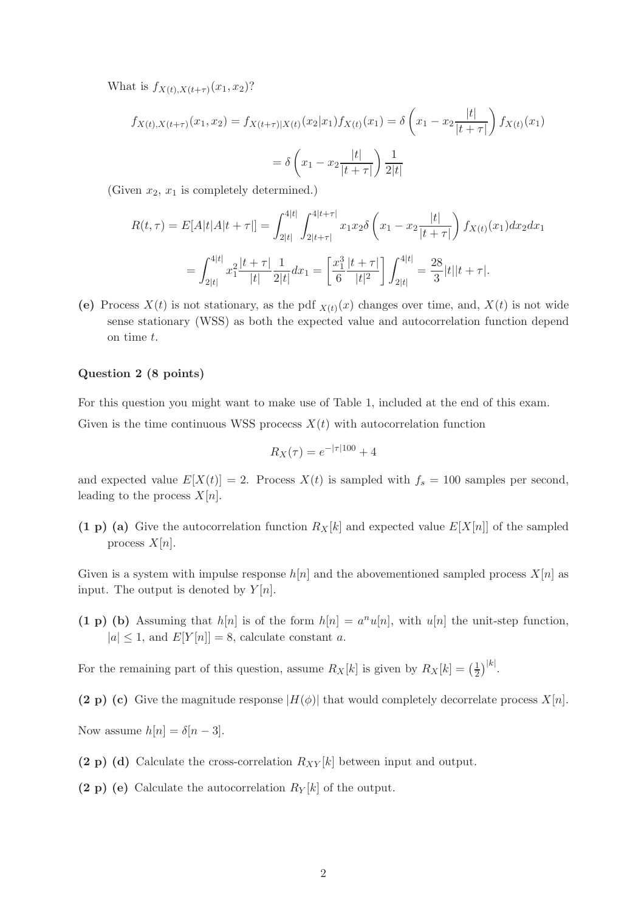What is  $f_{X(t),X(t+\tau)}(x_1,x_2)$ ?

$$
f_{X(t),X(t+\tau)}(x_1, x_2) = f_{X(t+\tau)|X(t)}(x_2|x_1) f_{X(t)}(x_1) = \delta \left(x_1 - x_2 \frac{|t|}{|t+\tau|}\right) f_{X(t)}(x_1)
$$

$$
= \delta \left(x_1 - x_2 \frac{|t|}{|t+\tau|}\right) \frac{1}{2|t|}
$$

(Given  $x_2, x_1$  is completely determined.)

$$
R(t,\tau) = E[A|t|A|t + \tau]] = \int_{2|t|}^{4|t|} \int_{2|t+\tau|}^{4|t+\tau|} x_1 x_2 \delta\left(x_1 - x_2 \frac{|t|}{|t+\tau|}\right) f_{X(t)}(x_1) dx_2 dx_1
$$
  

$$
= \int_{2|t|}^{4|t|} x_1^2 \frac{|t+\tau|}{|t|} \frac{1}{2|t|} dx_1 = \left[\frac{x_1^3}{6} \frac{|t+\tau|}{|t|^2}\right] \int_{2|t|}^{4|t|} = \frac{28}{3}|t||t+\tau|.
$$

(e) Process  $X(t)$  is not stationary, as the pdf  $X(t)(x)$  changes over time, and,  $X(t)$  is not wide sense stationary (WSS) as both the expected value and autocorrelation function depend on time t.

## Question 2 (8 points)

For this question you might want to make use of Table 1, included at the end of this exam. Given is the time continuous WSS process  $X(t)$  with autocorrelation function

$$
R_X(\tau) = e^{-|\tau|100} + 4
$$

and expected value  $E[X(t)] = 2$ . Process  $X(t)$  is sampled with  $f_s = 100$  samples per second, leading to the process  $X[n]$ .

(1 p) (a) Give the autocorrelation function  $R_X[k]$  and expected value  $E[X[n]]$  of the sampled process  $X[n]$ .

Given is a system with impulse response  $h[n]$  and the abovementioned sampled process  $X[n]$  as input. The output is denoted by  $Y[n]$ .

(1 p) (b) Assuming that  $h[n]$  is of the form  $h[n] = a^n u[n]$ , with  $u[n]$  the unit-step function,  $|a| \leq 1$ , and  $E[Y[n]] = 8$ , calculate constant a.

For the remaining part of this question, assume  $R_X[k]$  is given by  $R_X[k] = \left(\frac{1}{2}\right)^{k}$  $\frac{1}{2}\big)^{|k|}$ .

(2 p) (c) Give the magnitude response  $|H(\phi)|$  that would completely decorrelate process  $X[n]$ .

Now assume  $h[n] = \delta[n-3]$ .

- (2 p) (d) Calculate the cross-correlation  $R_{XY}[k]$  between input and output.
- (2 p) (e) Calculate the autocorrelation  $R_Y[k]$  of the output.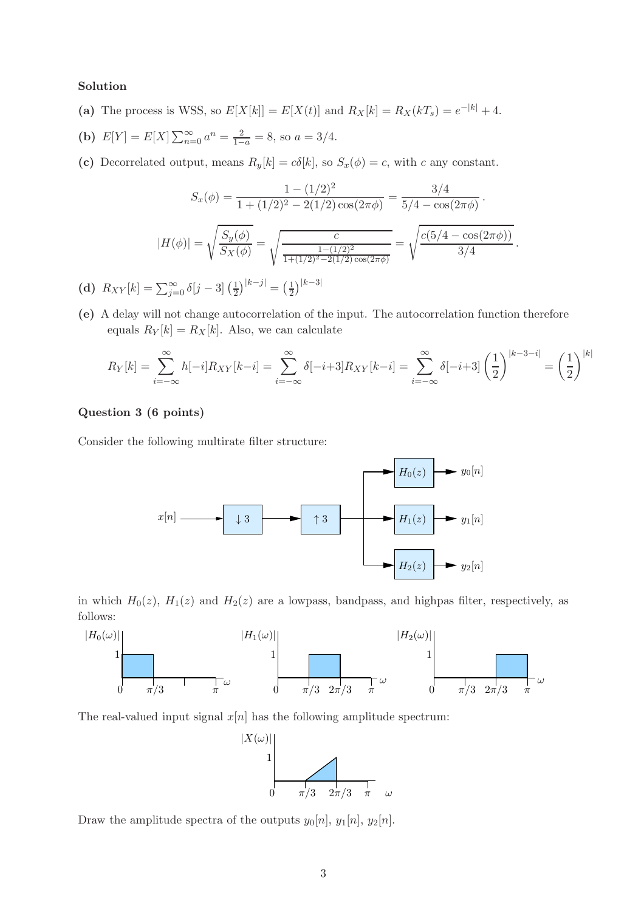## Solution

- (a) The process is WSS, so  $E[X[k]] = E[X(t)]$  and  $R_X[k] = R_X(kT_s) = e^{-|k|} + 4$ .
- (b)  $E[Y] = E[X] \sum_{n=0}^{\infty} a^n = \frac{2}{1-a} = 8$ , so  $a = 3/4$ .
- (c) Decorrelated output, means  $R_y[k] = c\delta[k]$ , so  $S_x(\phi) = c$ , with c any constant.

$$
S_x(\phi) = \frac{1 - (1/2)^2}{1 + (1/2)^2 - 2(1/2)\cos(2\pi\phi)} = \frac{3/4}{5/4 - \cos(2\pi\phi)}.
$$

$$
|H(\phi)| = \sqrt{\frac{S_y(\phi)}{S_x(\phi)}} = \sqrt{\frac{c}{\frac{1 - (1/2)^2}{1 + (1/2)^2 - 2(1/2)\cos(2\pi\phi)}}} = \sqrt{\frac{c(5/4 - \cos(2\pi\phi))}{3/4}}.
$$

(d)  $R_{XY}[k] = \sum_{j=0}^{\infty} \delta[j-3] \left(\frac{1}{2}\right)$  $(\frac{1}{2})^{|k-j|} = (\frac{1}{2})$  $\frac{1}{2}\big)^{|k-3|}$ 

(e) A delay will not change autocorrelation of the input. The autocorrelation function therefore equals  $R_Y[k] = R_X[k]$ . Also, we can calculate

$$
R_Y[k] = \sum_{i=-\infty}^{\infty} h[-i]R_{XY}[k-i] = \sum_{i=-\infty}^{\infty} \delta[-i+3]R_{XY}[k-i] = \sum_{i=-\infty}^{\infty} \delta[-i+3] \left(\frac{1}{2}\right)^{|k-3-i|} = \left(\frac{1}{2}\right)^{|k|}
$$

# Question 3 (6 points)

Consider the following multirate filter structure:



in which  $H_0(z)$ ,  $H_1(z)$  and  $H_2(z)$  are a lowpass, bandpass, and highpas filter, respectively, as follows:



The real-valued input signal  $x[n]$  has the following amplitude spectrum:



Draw the amplitude spectra of the outputs  $y_0[n], y_1[n], y_2[n]$ .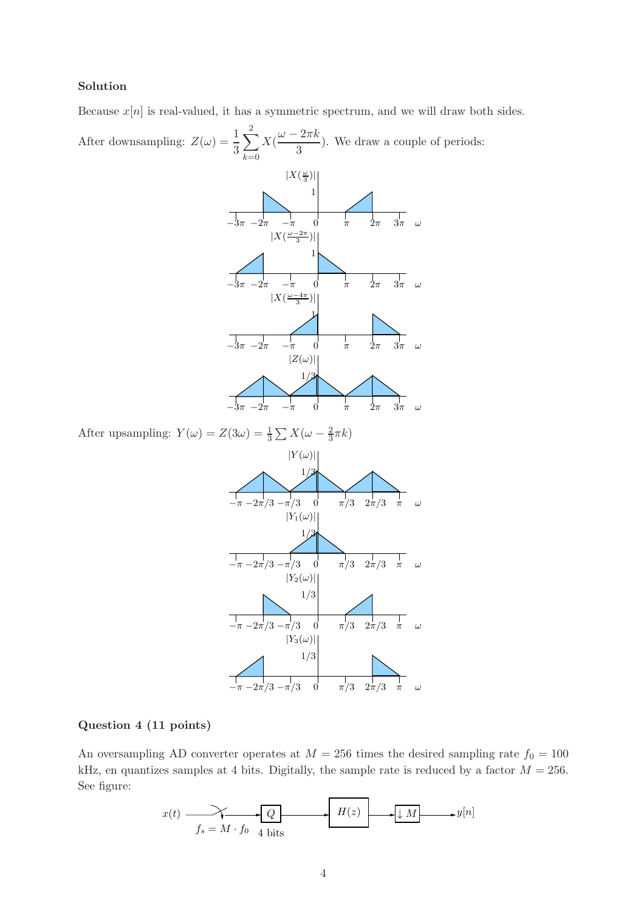# Solution

Because  $x[n]$  is real-valued, it has a symmetric spectrum, and we will draw both sides.

After downsampling:  $Z(\omega) = \frac{1}{3}$  $\sum$ 2  $k=0$  $X(\frac{\omega-2\pi k}{2})$  $\frac{2\pi}{3}$ ). We draw a couple of periods:



After upsampling:  $Y(\omega) = Z(3\omega) = \frac{1}{3} \sum X(\omega - \frac{2}{3})$  $\frac{2}{3}\pi k$ 



#### Question 4 (11 points)

An oversampling AD converter operates at  $M = 256$  times the desired sampling rate  $f_0 = 100$ kHz, en quantizes samples at 4 bits. Digitally, the sample rate is reduced by a factor  $M = 256$ . See figure:

$$
x(t) \xrightarrow{f_s = M \cdot f_0} \boxed{Q} \qquad \qquad H(z) \longrightarrow \boxed{M} \longrightarrow y[n]
$$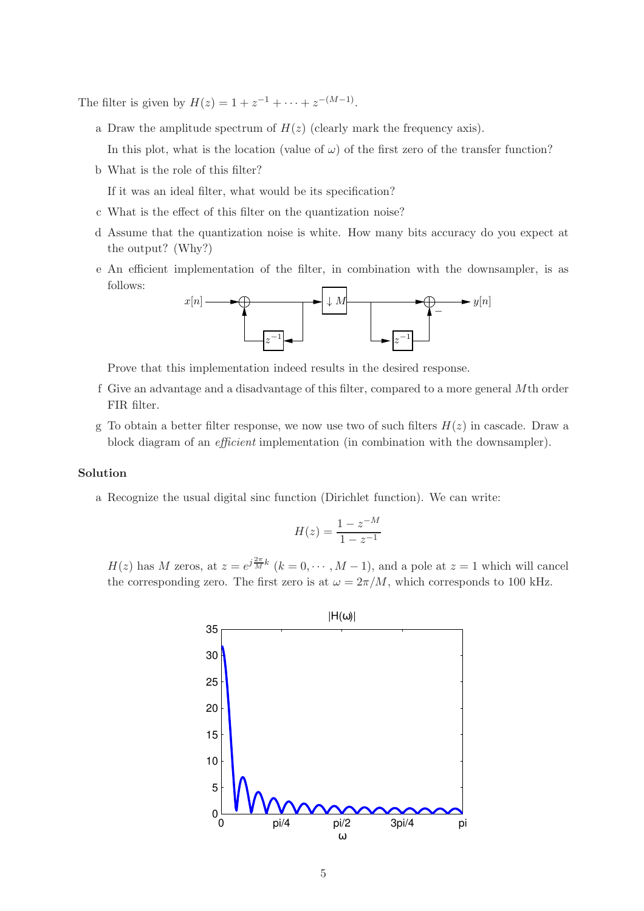The filter is given by  $H(z) = 1 + z^{-1} + \cdots + z^{-(M-1)}$ .

- a Draw the amplitude spectrum of  $H(z)$  (clearly mark the frequency axis).
	- In this plot, what is the location (value of  $\omega$ ) of the first zero of the transfer function?
- b What is the role of this filter?

If it was an ideal filter, what would be its specification?

- c What is the effect of this filter on the quantization noise?
- d Assume that the quantization noise is white. How many bits accuracy do you expect at the output? (Why?)
- e An efficient implementation of the filter, in combination with the downsampler, is as follows:



Prove that this implementation indeed results in the desired response.

- f Give an advantage and a disadvantage of this filter, compared to a more general Mth order FIR filter.
- g To obtain a better filter response, we now use two of such filters  $H(z)$  in cascade. Draw a block diagram of an efficient implementation (in combination with the downsampler).

#### Solution

a Recognize the usual digital sinc function (Dirichlet function). We can write:

$$
H(z) = \frac{1 - z^{-M}}{1 - z^{-1}}
$$

 $H(z)$  has M zeros, at  $z = e^{j\frac{2\pi}{M}k}$   $(k = 0, \dots, M-1)$ , and a pole at  $z = 1$  which will cancel the corresponding zero. The first zero is at  $\omega = 2\pi/M$ , which corresponds to 100 kHz.

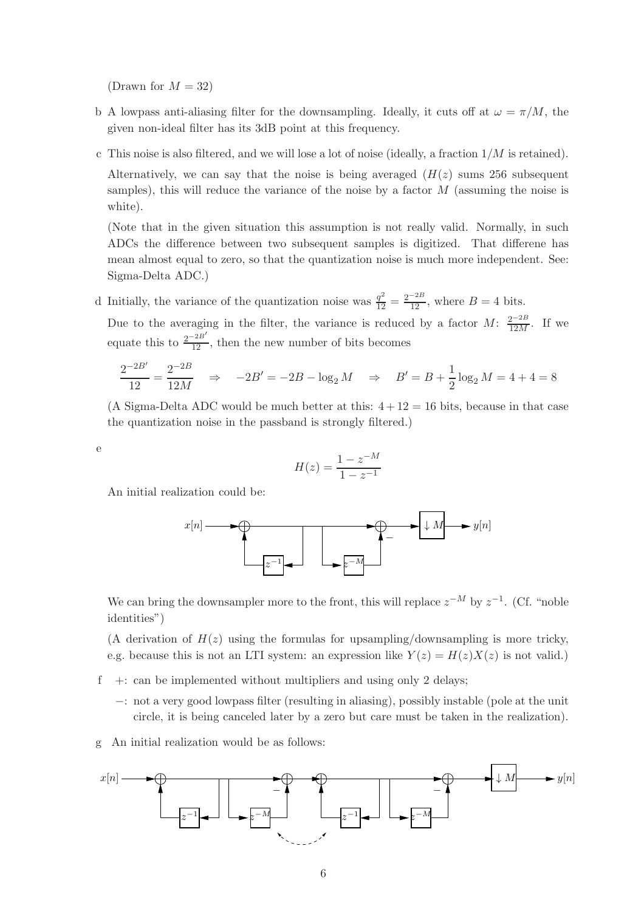(Drawn for  $M = 32$ )

- b A lowpass anti-aliasing filter for the downsampling. Ideally, it cuts off at  $\omega = \pi/M$ , the given non-ideal filter has its 3dB point at this frequency.
- c This noise is also filtered, and we will lose a lot of noise (ideally, a fraction  $1/M$  is retained).

Alternatively, we can say that the noise is being averaged  $(H(z))$  sums 256 subsequent samples), this will reduce the variance of the noise by a factor M (assuming the noise is white).

(Note that in the given situation this assumption is not really valid. Normally, in such ADCs the difference between two subsequent samples is digitized. That differene has mean almost equal to zero, so that the quantization noise is much more independent. See: Sigma-Delta ADC.)

d Initially, the variance of the quantization noise was  $\frac{q^2}{12} = \frac{2^{-2B}}{12}$ , where  $B = 4$  bits.

Due to the averaging in the filter, the variance is reduced by a factor  $M: \frac{2^{-2B}}{12M}$ . If we equate this to  $\frac{2^{-2B'}}{12}$ , then the new number of bits becomes

$$
\frac{2^{-2B'}}{12} = \frac{2^{-2B}}{12M} \Rightarrow -2B' = -2B - \log_2 M \Rightarrow B' = B + \frac{1}{2}\log_2 M = 4 + 4 = 8
$$

(A Sigma-Delta ADC would be much better at this:  $4 + 12 = 16$  bits, because in that case the quantization noise in the passband is strongly filtered.)

e

$$
H(z) = \frac{1 - z^{-M}}{1 - z^{-1}}
$$

An initial realization could be:



We can bring the downsampler more to the front, this will replace  $z^{-M}$  by  $z^{-1}$ . (Cf. "noble identities")

(A derivation of  $H(z)$  using the formulas for upsampling/downsampling is more tricky, e.g. because this is not an LTI system: an expression like  $Y(z) = H(z)X(z)$  is not valid.)

 $f +:$  can be implemented without multipliers and using only 2 delays;

- −: not a very good lowpass filter (resulting in aliasing), possibly instable (pole at the unit circle, it is being canceled later by a zero but care must be taken in the realization).
- g An initial realization would be as follows:

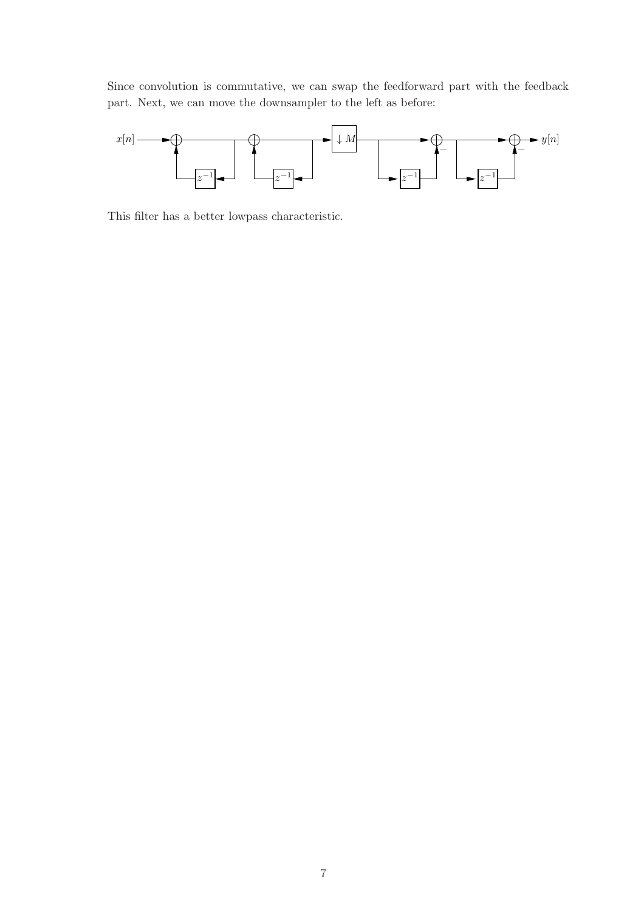Since convolution is commutative, we can swap the feedforward part with the feedback part. Next, we can move the downsampler to the left as before:



This filter has a better lowpass characteristic.